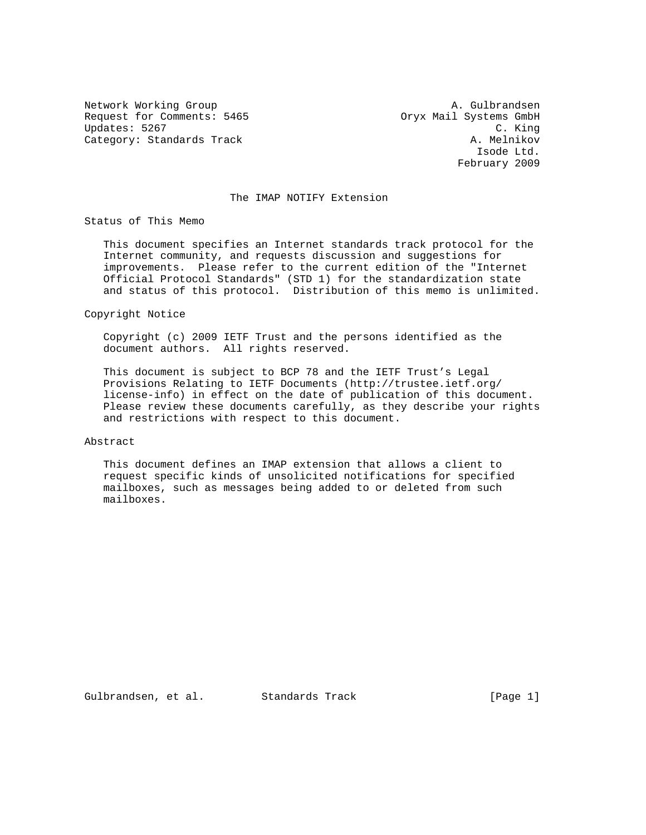Request for Comments: 5465 Oryx Mail Systems GmbH Updates: 5267 C. King<br>Category: Standards Track Category: Standards Track Category: Standards Track

Network Working Group A. Gulbrandsen Isode Ltd. February 2009

## The IMAP NOTIFY Extension

Status of This Memo

 This document specifies an Internet standards track protocol for the Internet community, and requests discussion and suggestions for improvements. Please refer to the current edition of the "Internet Official Protocol Standards" (STD 1) for the standardization state and status of this protocol. Distribution of this memo is unlimited.

Copyright Notice

 Copyright (c) 2009 IETF Trust and the persons identified as the document authors. All rights reserved.

 This document is subject to BCP 78 and the IETF Trust's Legal Provisions Relating to IETF Documents (http://trustee.ietf.org/ license-info) in effect on the date of publication of this document. Please review these documents carefully, as they describe your rights and restrictions with respect to this document.

#### Abstract

 This document defines an IMAP extension that allows a client to request specific kinds of unsolicited notifications for specified mailboxes, such as messages being added to or deleted from such mailboxes.

Gulbrandsen, et al. Standards Track [Page 1]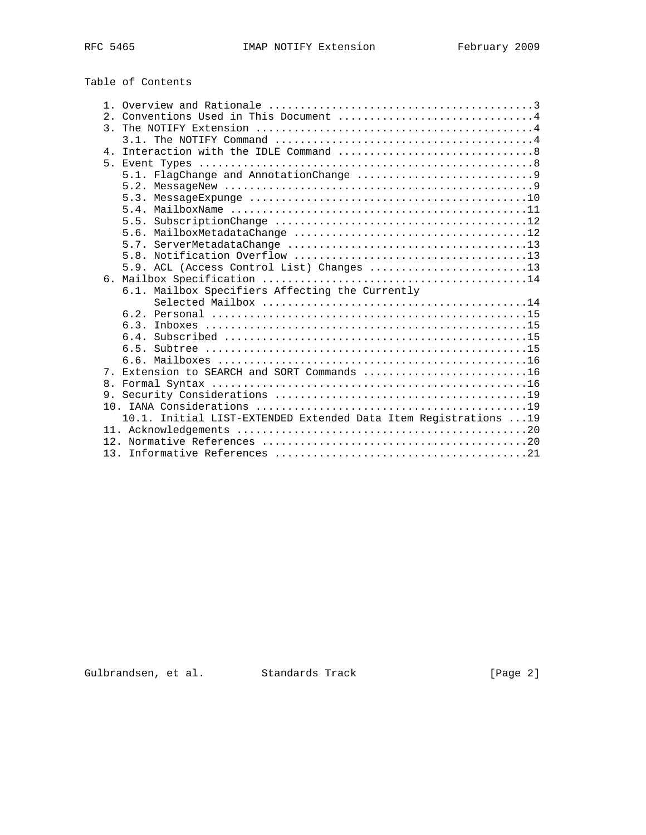# Table of Contents

| 2 <sub>1</sub> | Conventions Used in This Document 4                              |
|----------------|------------------------------------------------------------------|
|                |                                                                  |
|                |                                                                  |
|                |                                                                  |
|                |                                                                  |
|                |                                                                  |
|                |                                                                  |
|                |                                                                  |
|                |                                                                  |
|                |                                                                  |
|                |                                                                  |
|                |                                                                  |
|                |                                                                  |
|                | 5.9. ACL (Access Control List) Changes 13                        |
|                |                                                                  |
|                | 6.1. Mailbox Specifiers Affecting the Currently                  |
|                |                                                                  |
|                |                                                                  |
|                | 63                                                               |
|                |                                                                  |
|                |                                                                  |
|                |                                                                  |
|                | 7. Extension to SEARCH and SORT Commands 16                      |
| 8.             |                                                                  |
|                |                                                                  |
|                |                                                                  |
|                | 10.1. Initial LIST-EXTENDED Extended Data Item Registrations  19 |
|                |                                                                  |
|                |                                                                  |
|                |                                                                  |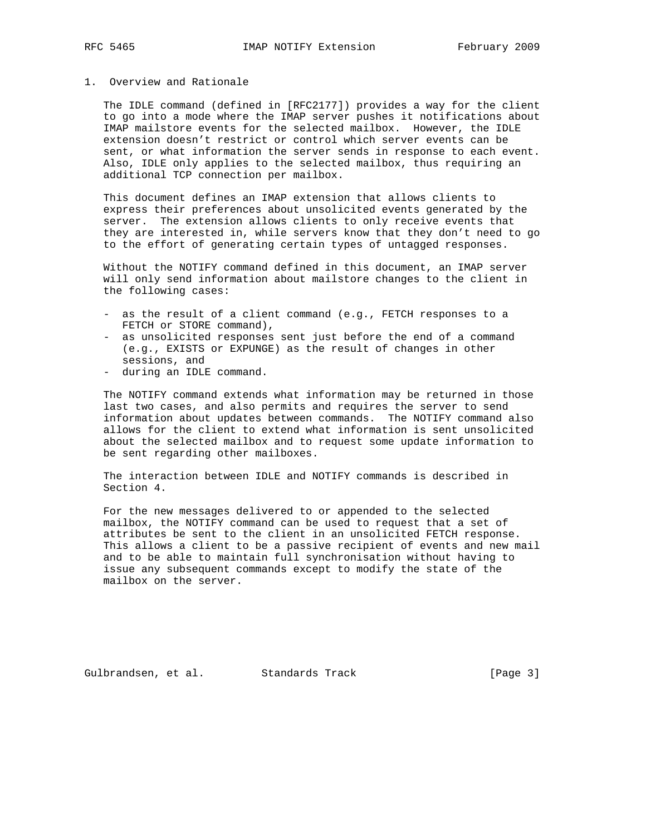## 1. Overview and Rationale

 The IDLE command (defined in [RFC2177]) provides a way for the client to go into a mode where the IMAP server pushes it notifications about IMAP mailstore events for the selected mailbox. However, the IDLE extension doesn't restrict or control which server events can be sent, or what information the server sends in response to each event. Also, IDLE only applies to the selected mailbox, thus requiring an additional TCP connection per mailbox.

 This document defines an IMAP extension that allows clients to express their preferences about unsolicited events generated by the server. The extension allows clients to only receive events that they are interested in, while servers know that they don't need to go to the effort of generating certain types of untagged responses.

 Without the NOTIFY command defined in this document, an IMAP server will only send information about mailstore changes to the client in the following cases:

- as the result of a client command (e.g., FETCH responses to a FETCH or STORE command),
- as unsolicited responses sent just before the end of a command (e.g., EXISTS or EXPUNGE) as the result of changes in other sessions, and
- during an IDLE command.

 The NOTIFY command extends what information may be returned in those last two cases, and also permits and requires the server to send information about updates between commands. The NOTIFY command also allows for the client to extend what information is sent unsolicited about the selected mailbox and to request some update information to be sent regarding other mailboxes.

 The interaction between IDLE and NOTIFY commands is described in Section 4.

 For the new messages delivered to or appended to the selected mailbox, the NOTIFY command can be used to request that a set of attributes be sent to the client in an unsolicited FETCH response. This allows a client to be a passive recipient of events and new mail and to be able to maintain full synchronisation without having to issue any subsequent commands except to modify the state of the mailbox on the server.

Gulbrandsen, et al. Standards Track [Page 3]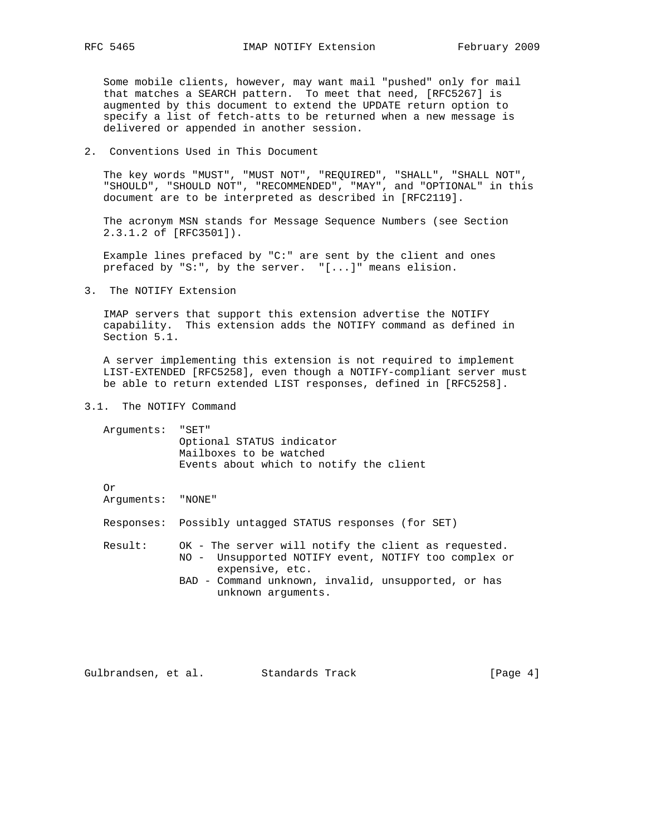Some mobile clients, however, may want mail "pushed" only for mail that matches a SEARCH pattern. To meet that need, [RFC5267] is augmented by this document to extend the UPDATE return option to specify a list of fetch-atts to be returned when a new message is delivered or appended in another session.

## 2. Conventions Used in This Document

 The key words "MUST", "MUST NOT", "REQUIRED", "SHALL", "SHALL NOT", "SHOULD", "SHOULD NOT", "RECOMMENDED", "MAY", and "OPTIONAL" in this document are to be interpreted as described in [RFC2119].

 The acronym MSN stands for Message Sequence Numbers (see Section 2.3.1.2 of [RFC3501]).

 Example lines prefaced by "C:" are sent by the client and ones prefaced by "S:", by the server. "[...]" means elision.

3. The NOTIFY Extension

 IMAP servers that support this extension advertise the NOTIFY capability. This extension adds the NOTIFY command as defined in Section 5.1.

 A server implementing this extension is not required to implement LIST-EXTENDED [RFC5258], even though a NOTIFY-compliant server must be able to return extended LIST responses, defined in [RFC5258].

3.1. The NOTIFY Command

| Arquments: "SET" |                                         |
|------------------|-----------------------------------------|
|                  | Optional STATUS indicator               |
|                  | Mailboxes to be watched                 |
|                  | Events about which to notify the client |
|                  |                                         |

Or

Arguments: "NONE"

Responses: Possibly untagged STATUS responses (for SET)

 Result: OK - The server will notify the client as requested. NO - Unsupported NOTIFY event, NOTIFY too complex or expensive, etc. BAD - Command unknown, invalid, unsupported, or has unknown arguments.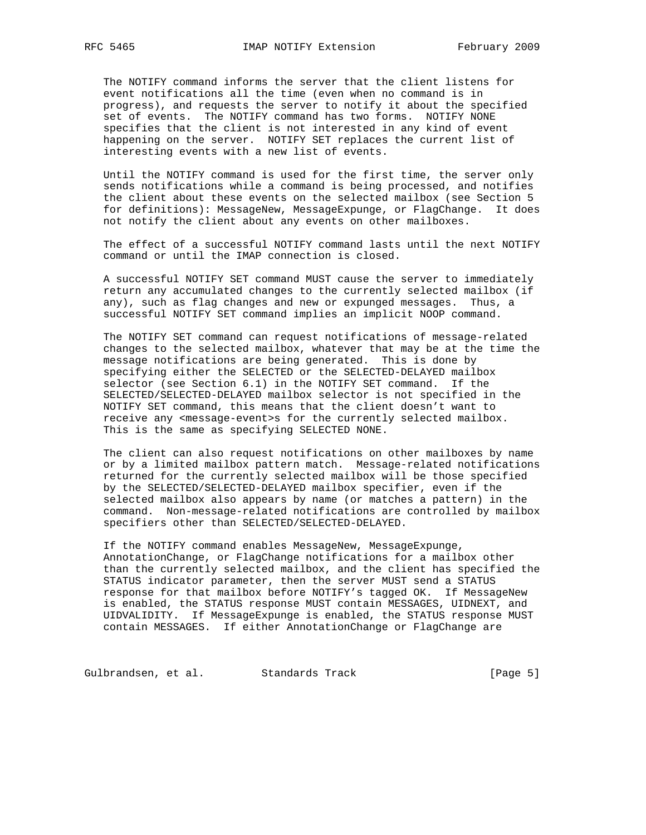The NOTIFY command informs the server that the client listens for event notifications all the time (even when no command is in progress), and requests the server to notify it about the specified set of events. The NOTIFY command has two forms. NOTIFY NONE specifies that the client is not interested in any kind of event happening on the server. NOTIFY SET replaces the current list of interesting events with a new list of events.

 Until the NOTIFY command is used for the first time, the server only sends notifications while a command is being processed, and notifies the client about these events on the selected mailbox (see Section 5 for definitions): MessageNew, MessageExpunge, or FlagChange. It does not notify the client about any events on other mailboxes.

 The effect of a successful NOTIFY command lasts until the next NOTIFY command or until the IMAP connection is closed.

 A successful NOTIFY SET command MUST cause the server to immediately return any accumulated changes to the currently selected mailbox (if any), such as flag changes and new or expunged messages. Thus, a successful NOTIFY SET command implies an implicit NOOP command.

 The NOTIFY SET command can request notifications of message-related changes to the selected mailbox, whatever that may be at the time the message notifications are being generated. This is done by specifying either the SELECTED or the SELECTED-DELAYED mailbox selector (see Section 6.1) in the NOTIFY SET command. If the SELECTED/SELECTED-DELAYED mailbox selector is not specified in the NOTIFY SET command, this means that the client doesn't want to receive any <message-event>s for the currently selected mailbox. This is the same as specifying SELECTED NONE.

 The client can also request notifications on other mailboxes by name or by a limited mailbox pattern match. Message-related notifications returned for the currently selected mailbox will be those specified by the SELECTED/SELECTED-DELAYED mailbox specifier, even if the selected mailbox also appears by name (or matches a pattern) in the command. Non-message-related notifications are controlled by mailbox specifiers other than SELECTED/SELECTED-DELAYED.

 If the NOTIFY command enables MessageNew, MessageExpunge, AnnotationChange, or FlagChange notifications for a mailbox other than the currently selected mailbox, and the client has specified the STATUS indicator parameter, then the server MUST send a STATUS response for that mailbox before NOTIFY's tagged OK. If MessageNew is enabled, the STATUS response MUST contain MESSAGES, UIDNEXT, and UIDVALIDITY. If MessageExpunge is enabled, the STATUS response MUST contain MESSAGES. If either AnnotationChange or FlagChange are

Gulbrandsen, et al. Standards Track (Page 5)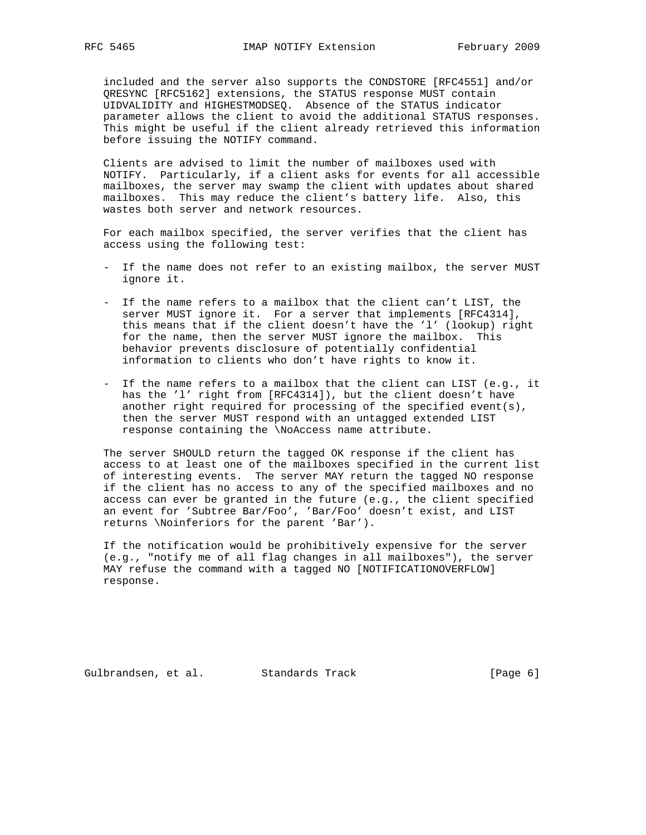included and the server also supports the CONDSTORE [RFC4551] and/or QRESYNC [RFC5162] extensions, the STATUS response MUST contain UIDVALIDITY and HIGHESTMODSEQ. Absence of the STATUS indicator parameter allows the client to avoid the additional STATUS responses. This might be useful if the client already retrieved this information before issuing the NOTIFY command.

 Clients are advised to limit the number of mailboxes used with NOTIFY. Particularly, if a client asks for events for all accessible mailboxes, the server may swamp the client with updates about shared mailboxes. This may reduce the client's battery life. Also, this wastes both server and network resources.

 For each mailbox specified, the server verifies that the client has access using the following test:

- If the name does not refer to an existing mailbox, the server MUST ignore it.
- If the name refers to a mailbox that the client can't LIST, the server MUST ignore it. For a server that implements [RFC4314], this means that if the client doesn't have the 'l' (lookup) right for the name, then the server MUST ignore the mailbox. This behavior prevents disclosure of potentially confidential information to clients who don't have rights to know it.
- If the name refers to a mailbox that the client can LIST (e.g., it has the 'l' right from [RFC4314]), but the client doesn't have another right required for processing of the specified event(s), then the server MUST respond with an untagged extended LIST response containing the \NoAccess name attribute.

 The server SHOULD return the tagged OK response if the client has access to at least one of the mailboxes specified in the current list of interesting events. The server MAY return the tagged NO response if the client has no access to any of the specified mailboxes and no access can ever be granted in the future (e.g., the client specified an event for 'Subtree Bar/Foo', 'Bar/Foo' doesn't exist, and LIST returns \Noinferiors for the parent 'Bar').

 If the notification would be prohibitively expensive for the server (e.g., "notify me of all flag changes in all mailboxes"), the server MAY refuse the command with a tagged NO [NOTIFICATIONOVERFLOW] response.

Gulbrandsen, et al. Standards Track (Page 6)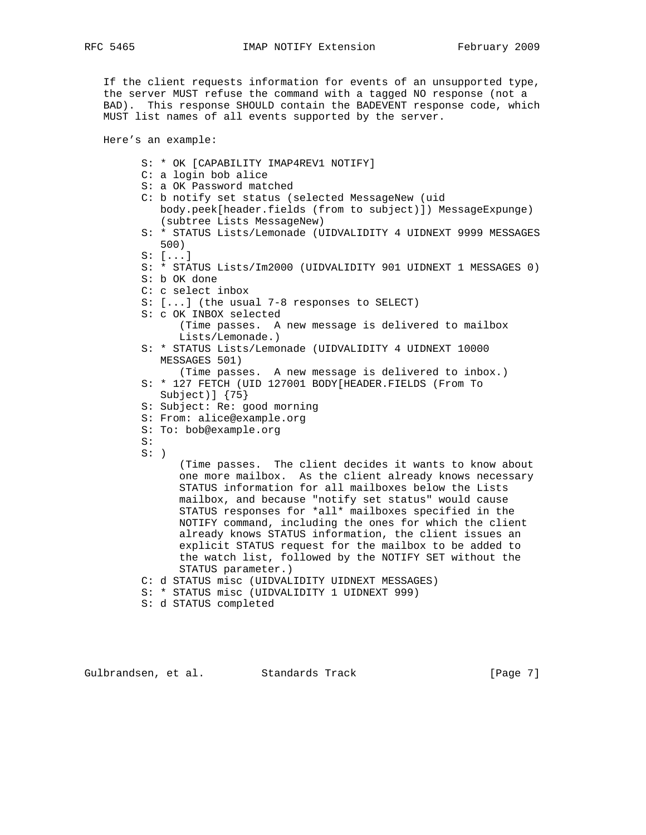If the client requests information for events of an unsupported type, the server MUST refuse the command with a tagged NO response (not a BAD). This response SHOULD contain the BADEVENT response code, which MUST list names of all events supported by the server.

Here's an example:

- S: \* OK [CAPABILITY IMAP4REV1 NOTIFY]
- C: a login bob alice
- S: a OK Password matched
- C: b notify set status (selected MessageNew (uid body.peek[header.fields (from to subject)]) MessageExpunge) (subtree Lists MessageNew)
- S: \* STATUS Lists/Lemonade (UIDVALIDITY 4 UIDNEXT 9999 MESSAGES 500)
- S: [...]
- S: \* STATUS Lists/Im2000 (UIDVALIDITY 901 UIDNEXT 1 MESSAGES 0)
- S: b OK done
- C: c select inbox
- S: [...] (the usual 7-8 responses to SELECT)
- S: c OK INBOX selected (Time passes. A new message is delivered to mailbox Lists/Lemonade.)
- S: \* STATUS Lists/Lemonade (UIDVALIDITY 4 UIDNEXT 10000 MESSAGES 501)

- S: \* 127 FETCH (UID 127001 BODY[HEADER.FIELDS (From To Subject)] {75}
- S: Subject: Re: good morning
- S: From: alice@example.org
- S: To: bob@example.org
- S:
- $S:$  )

 (Time passes. The client decides it wants to know about one more mailbox. As the client already knows necessary STATUS information for all mailboxes below the Lists mailbox, and because "notify set status" would cause STATUS responses for \*all\* mailboxes specified in the NOTIFY command, including the ones for which the client already knows STATUS information, the client issues an explicit STATUS request for the mailbox to be added to the watch list, followed by the NOTIFY SET without the STATUS parameter.)

- C: d STATUS misc (UIDVALIDITY UIDNEXT MESSAGES)
- S: \* STATUS misc (UIDVALIDITY 1 UIDNEXT 999)
- S: d STATUS completed

Gulbrandsen, et al. Standards Track [Page 7]

 <sup>(</sup>Time passes. A new message is delivered to inbox.)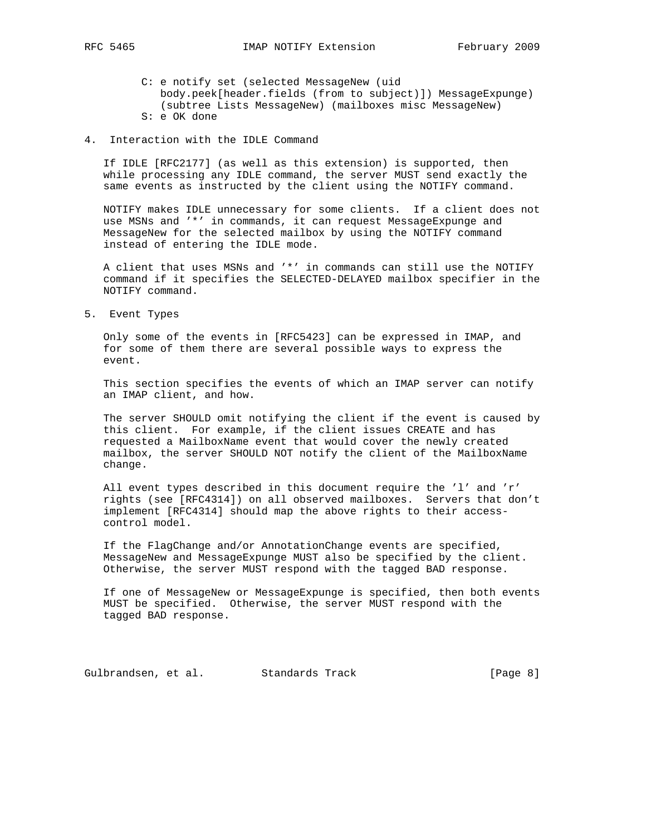- 
- C: e notify set (selected MessageNew (uid body.peek[header.fields (from to subject)]) MessageExpunge) (subtree Lists MessageNew) (mailboxes misc MessageNew) S: e OK done
- 4. Interaction with the IDLE Command

 If IDLE [RFC2177] (as well as this extension) is supported, then while processing any IDLE command, the server MUST send exactly the same events as instructed by the client using the NOTIFY command.

 NOTIFY makes IDLE unnecessary for some clients. If a client does not use MSNs and '\*' in commands, it can request MessageExpunge and MessageNew for the selected mailbox by using the NOTIFY command instead of entering the IDLE mode.

 A client that uses MSNs and '\*' in commands can still use the NOTIFY command if it specifies the SELECTED-DELAYED mailbox specifier in the NOTIFY command.

5. Event Types

 Only some of the events in [RFC5423] can be expressed in IMAP, and for some of them there are several possible ways to express the event.

 This section specifies the events of which an IMAP server can notify an IMAP client, and how.

 The server SHOULD omit notifying the client if the event is caused by this client. For example, if the client issues CREATE and has requested a MailboxName event that would cover the newly created mailbox, the server SHOULD NOT notify the client of the MailboxName change.

 All event types described in this document require the 'l' and 'r' rights (see [RFC4314]) on all observed mailboxes. Servers that don't implement [RFC4314] should map the above rights to their access control model.

 If the FlagChange and/or AnnotationChange events are specified, MessageNew and MessageExpunge MUST also be specified by the client. Otherwise, the server MUST respond with the tagged BAD response.

 If one of MessageNew or MessageExpunge is specified, then both events MUST be specified. Otherwise, the server MUST respond with the tagged BAD response.

Gulbrandsen, et al. Standards Track [Page 8]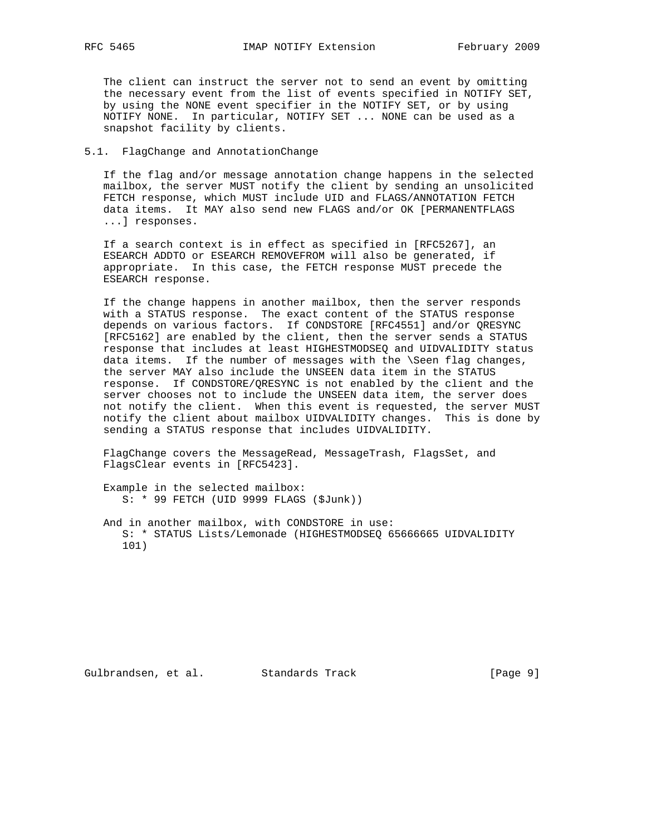The client can instruct the server not to send an event by omitting the necessary event from the list of events specified in NOTIFY SET, by using the NONE event specifier in the NOTIFY SET, or by using NOTIFY NONE. In particular, NOTIFY SET ... NONE can be used as a snapshot facility by clients.

## 5.1. FlagChange and AnnotationChange

 If the flag and/or message annotation change happens in the selected mailbox, the server MUST notify the client by sending an unsolicited FETCH response, which MUST include UID and FLAGS/ANNOTATION FETCH data items. It MAY also send new FLAGS and/or OK [PERMANENTFLAGS ...] responses.

 If a search context is in effect as specified in [RFC5267], an ESEARCH ADDTO or ESEARCH REMOVEFROM will also be generated, if appropriate. In this case, the FETCH response MUST precede the ESEARCH response.

 If the change happens in another mailbox, then the server responds with a STATUS response. The exact content of the STATUS response depends on various factors. If CONDSTORE [RFC4551] and/or QRESYNC [RFC5162] are enabled by the client, then the server sends a STATUS response that includes at least HIGHESTMODSEQ and UIDVALIDITY status data items. If the number of messages with the \Seen flag changes, the server MAY also include the UNSEEN data item in the STATUS response. If CONDSTORE/QRESYNC is not enabled by the client and the server chooses not to include the UNSEEN data item, the server does not notify the client. When this event is requested, the server MUST notify the client about mailbox UIDVALIDITY changes. This is done by sending a STATUS response that includes UIDVALIDITY.

 FlagChange covers the MessageRead, MessageTrash, FlagsSet, and FlagsClear events in [RFC5423].

 Example in the selected mailbox: S: \* 99 FETCH (UID 9999 FLAGS (\$Junk))

 And in another mailbox, with CONDSTORE in use: S: \* STATUS Lists/Lemonade (HIGHESTMODSEQ 65666665 UIDVALIDITY 101)

Gulbrandsen, et al. Standards Track [Page 9]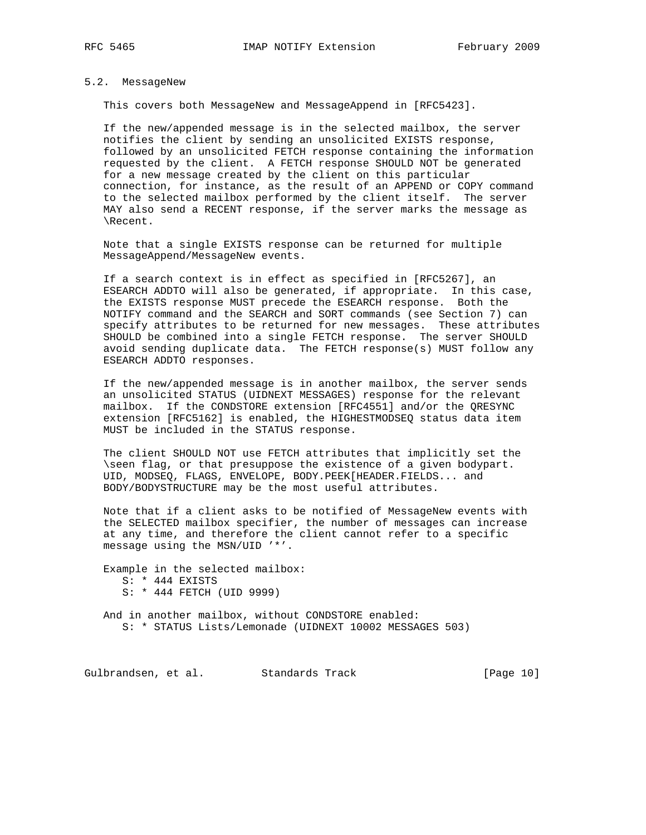## 5.2. MessageNew

This covers both MessageNew and MessageAppend in [RFC5423].

 If the new/appended message is in the selected mailbox, the server notifies the client by sending an unsolicited EXISTS response, followed by an unsolicited FETCH response containing the information requested by the client. A FETCH response SHOULD NOT be generated for a new message created by the client on this particular connection, for instance, as the result of an APPEND or COPY command to the selected mailbox performed by the client itself. The server MAY also send a RECENT response, if the server marks the message as \Recent.

 Note that a single EXISTS response can be returned for multiple MessageAppend/MessageNew events.

 If a search context is in effect as specified in [RFC5267], an ESEARCH ADDTO will also be generated, if appropriate. In this case, the EXISTS response MUST precede the ESEARCH response. Both the NOTIFY command and the SEARCH and SORT commands (see Section 7) can specify attributes to be returned for new messages. These attributes SHOULD be combined into a single FETCH response. The server SHOULD avoid sending duplicate data. The FETCH response(s) MUST follow any ESEARCH ADDTO responses.

 If the new/appended message is in another mailbox, the server sends an unsolicited STATUS (UIDNEXT MESSAGES) response for the relevant mailbox. If the CONDSTORE extension [RFC4551] and/or the QRESYNC extension [RFC5162] is enabled, the HIGHESTMODSEQ status data item MUST be included in the STATUS response.

 The client SHOULD NOT use FETCH attributes that implicitly set the \seen flag, or that presuppose the existence of a given bodypart. UID, MODSEQ, FLAGS, ENVELOPE, BODY.PEEK[HEADER.FIELDS... and BODY/BODYSTRUCTURE may be the most useful attributes.

 Note that if a client asks to be notified of MessageNew events with the SELECTED mailbox specifier, the number of messages can increase at any time, and therefore the client cannot refer to a specific message using the MSN/UID '\*'.

 Example in the selected mailbox: S: \* 444 EXISTS S: \* 444 FETCH (UID 9999)

 And in another mailbox, without CONDSTORE enabled: S: \* STATUS Lists/Lemonade (UIDNEXT 10002 MESSAGES 503)

Gulbrandsen, et al. Standards Track [Page 10]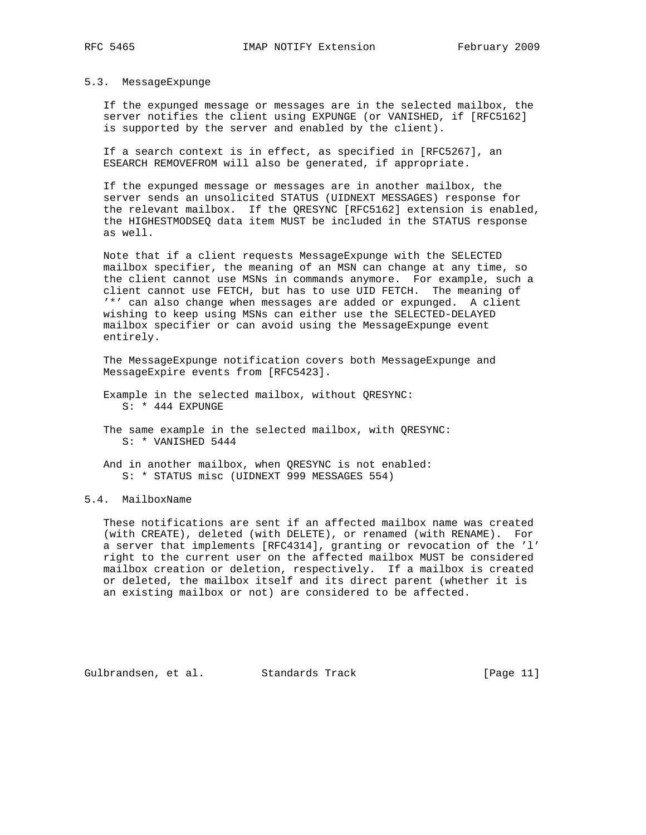#### 5.3. MessageExpunge

 If the expunged message or messages are in the selected mailbox, the server notifies the client using EXPUNGE (or VANISHED, if [RFC5162] is supported by the server and enabled by the client).

 If a search context is in effect, as specified in [RFC5267], an ESEARCH REMOVEFROM will also be generated, if appropriate.

 If the expunged message or messages are in another mailbox, the server sends an unsolicited STATUS (UIDNEXT MESSAGES) response for the relevant mailbox. If the QRESYNC [RFC5162] extension is enabled, the HIGHESTMODSEQ data item MUST be included in the STATUS response as well.

 Note that if a client requests MessageExpunge with the SELECTED mailbox specifier, the meaning of an MSN can change at any time, so the client cannot use MSNs in commands anymore. For example, such a client cannot use FETCH, but has to use UID FETCH. The meaning of '\*' can also change when messages are added or expunged. A client wishing to keep using MSNs can either use the SELECTED-DELAYED mailbox specifier or can avoid using the MessageExpunge event entirely.

 The MessageExpunge notification covers both MessageExpunge and MessageExpire events from [RFC5423].

- Example in the selected mailbox, without QRESYNC: S: \* 444 EXPUNGE
- The same example in the selected mailbox, with QRESYNC: S: \* VANISHED 5444
- And in another mailbox, when QRESYNC is not enabled: S: \* STATUS misc (UIDNEXT 999 MESSAGES 554)

## 5.4. MailboxName

 These notifications are sent if an affected mailbox name was created (with CREATE), deleted (with DELETE), or renamed (with RENAME). For a server that implements [RFC4314], granting or revocation of the 'l' right to the current user on the affected mailbox MUST be considered mailbox creation or deletion, respectively. If a mailbox is created or deleted, the mailbox itself and its direct parent (whether it is an existing mailbox or not) are considered to be affected.

Gulbrandsen, et al. Standards Track [Page 11]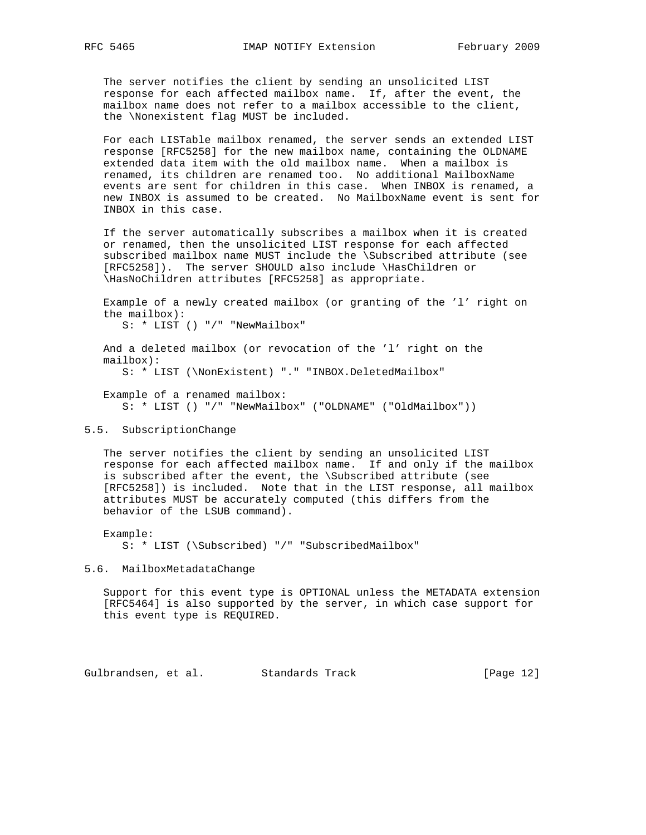The server notifies the client by sending an unsolicited LIST response for each affected mailbox name. If, after the event, the mailbox name does not refer to a mailbox accessible to the client, the \Nonexistent flag MUST be included.

 For each LISTable mailbox renamed, the server sends an extended LIST response [RFC5258] for the new mailbox name, containing the OLDNAME extended data item with the old mailbox name. When a mailbox is renamed, its children are renamed too. No additional MailboxName events are sent for children in this case. When INBOX is renamed, a new INBOX is assumed to be created. No MailboxName event is sent for INBOX in this case.

 If the server automatically subscribes a mailbox when it is created or renamed, then the unsolicited LIST response for each affected subscribed mailbox name MUST include the \Subscribed attribute (see [RFC5258]). The server SHOULD also include \HasChildren or \HasNoChildren attributes [RFC5258] as appropriate.

 Example of a newly created mailbox (or granting of the 'l' right on the mailbox):

S: \* LIST () "/" "NewMailbox"

 And a deleted mailbox (or revocation of the 'l' right on the mailbox):

S: \* LIST (\NonExistent) "." "INBOX.DeletedMailbox"

 Example of a renamed mailbox: S: \* LIST () "/" "NewMailbox" ("OLDNAME" ("OldMailbox"))

### 5.5. SubscriptionChange

 The server notifies the client by sending an unsolicited LIST response for each affected mailbox name. If and only if the mailbox is subscribed after the event, the \Subscribed attribute (see [RFC5258]) is included. Note that in the LIST response, all mailbox attributes MUST be accurately computed (this differs from the behavior of the LSUB command).

Example:

S: \* LIST (\Subscribed) "/" "SubscribedMailbox"

5.6. MailboxMetadataChange

 Support for this event type is OPTIONAL unless the METADATA extension [RFC5464] is also supported by the server, in which case support for this event type is REQUIRED.

Gulbrandsen, et al. Standards Track [Page 12]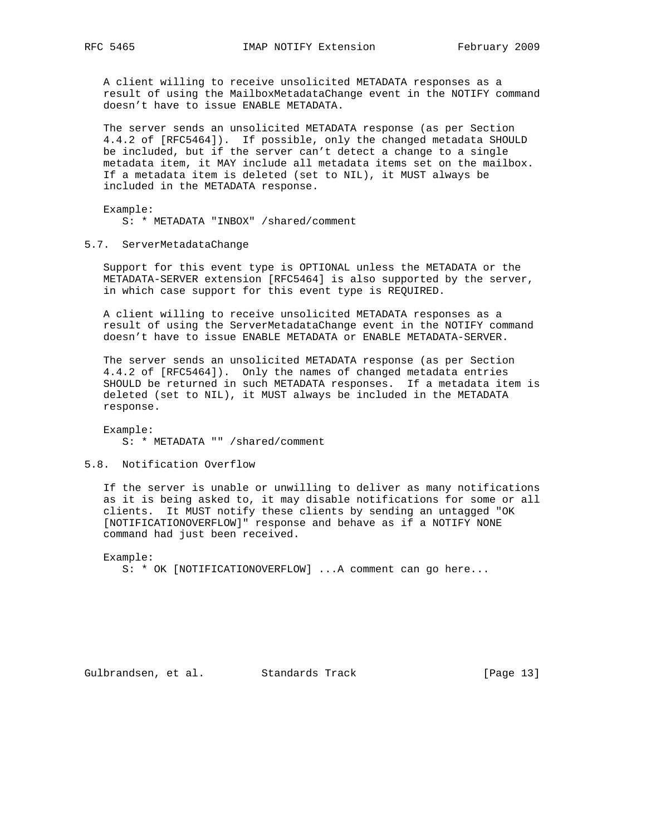A client willing to receive unsolicited METADATA responses as a result of using the MailboxMetadataChange event in the NOTIFY command doesn't have to issue ENABLE METADATA.

 The server sends an unsolicited METADATA response (as per Section 4.4.2 of [RFC5464]). If possible, only the changed metadata SHOULD be included, but if the server can't detect a change to a single metadata item, it MAY include all metadata items set on the mailbox. If a metadata item is deleted (set to NIL), it MUST always be included in the METADATA response.

 Example: S: \* METADATA "INBOX" /shared/comment

### 5.7. ServerMetadataChange

 Support for this event type is OPTIONAL unless the METADATA or the METADATA-SERVER extension [RFC5464] is also supported by the server, in which case support for this event type is REQUIRED.

 A client willing to receive unsolicited METADATA responses as a result of using the ServerMetadataChange event in the NOTIFY command doesn't have to issue ENABLE METADATA or ENABLE METADATA-SERVER.

 The server sends an unsolicited METADATA response (as per Section 4.4.2 of [RFC5464]). Only the names of changed metadata entries SHOULD be returned in such METADATA responses. If a metadata item is deleted (set to NIL), it MUST always be included in the METADATA response.

 Example: S: \* METADATA "" /shared/comment

5.8. Notification Overflow

 If the server is unable or unwilling to deliver as many notifications as it is being asked to, it may disable notifications for some or all clients. It MUST notify these clients by sending an untagged "OK [NOTIFICATIONOVERFLOW]" response and behave as if a NOTIFY NONE command had just been received.

Example:

S: \* OK [NOTIFICATIONOVERFLOW] ...A comment can go here...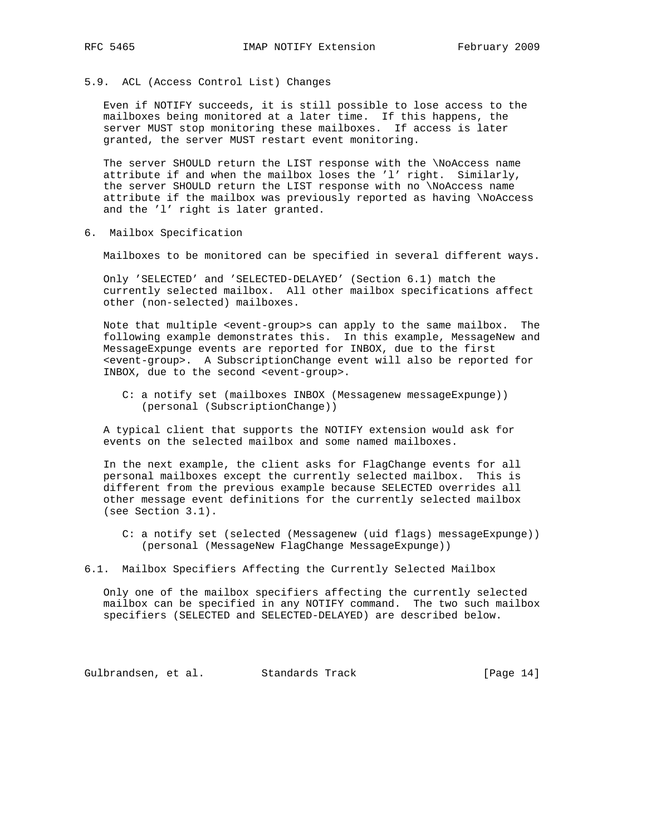5.9. ACL (Access Control List) Changes

 Even if NOTIFY succeeds, it is still possible to lose access to the mailboxes being monitored at a later time. If this happens, the server MUST stop monitoring these mailboxes. If access is later granted, the server MUST restart event monitoring.

 The server SHOULD return the LIST response with the \NoAccess name attribute if and when the mailbox loses the 'l' right. Similarly, the server SHOULD return the LIST response with no \NoAccess name attribute if the mailbox was previously reported as having \NoAccess and the 'l' right is later granted.

6. Mailbox Specification

Mailboxes to be monitored can be specified in several different ways.

 Only 'SELECTED' and 'SELECTED-DELAYED' (Section 6.1) match the currently selected mailbox. All other mailbox specifications affect other (non-selected) mailboxes.

 Note that multiple <event-group>s can apply to the same mailbox. The following example demonstrates this. In this example, MessageNew and MessageExpunge events are reported for INBOX, due to the first <event-group>. A SubscriptionChange event will also be reported for INBOX, due to the second <event-group>.

 C: a notify set (mailboxes INBOX (Messagenew messageExpunge)) (personal (SubscriptionChange))

 A typical client that supports the NOTIFY extension would ask for events on the selected mailbox and some named mailboxes.

 In the next example, the client asks for FlagChange events for all personal mailboxes except the currently selected mailbox. This is different from the previous example because SELECTED overrides all other message event definitions for the currently selected mailbox (see Section 3.1).

 C: a notify set (selected (Messagenew (uid flags) messageExpunge)) (personal (MessageNew FlagChange MessageExpunge))

6.1. Mailbox Specifiers Affecting the Currently Selected Mailbox

 Only one of the mailbox specifiers affecting the currently selected mailbox can be specified in any NOTIFY command. The two such mailbox specifiers (SELECTED and SELECTED-DELAYED) are described below.

Gulbrandsen, et al. Standards Track [Page 14]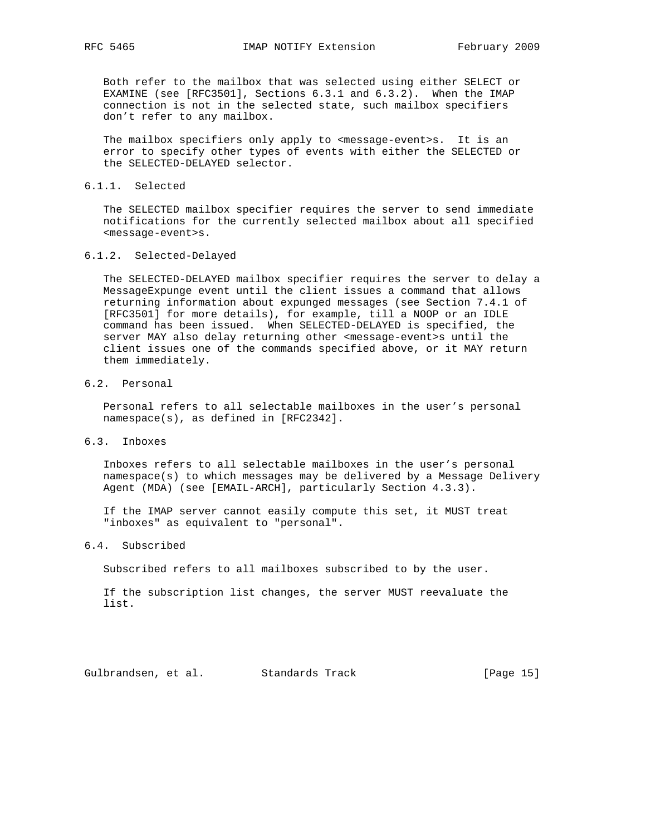Both refer to the mailbox that was selected using either SELECT or EXAMINE (see [RFC3501], Sections 6.3.1 and 6.3.2). When the IMAP connection is not in the selected state, such mailbox specifiers don't refer to any mailbox.

The mailbox specifiers only apply to <message-event>s. It is an error to specify other types of events with either the SELECTED or the SELECTED-DELAYED selector.

#### 6.1.1. Selected

 The SELECTED mailbox specifier requires the server to send immediate notifications for the currently selected mailbox about all specified <message-event>s.

### 6.1.2. Selected-Delayed

 The SELECTED-DELAYED mailbox specifier requires the server to delay a MessageExpunge event until the client issues a command that allows returning information about expunged messages (see Section 7.4.1 of [RFC3501] for more details), for example, till a NOOP or an IDLE command has been issued. When SELECTED-DELAYED is specified, the server MAY also delay returning other <message-event>s until the client issues one of the commands specified above, or it MAY return them immediately.

## 6.2. Personal

 Personal refers to all selectable mailboxes in the user's personal namespace(s), as defined in [RFC2342].

## 6.3. Inboxes

 Inboxes refers to all selectable mailboxes in the user's personal namespace(s) to which messages may be delivered by a Message Delivery Agent (MDA) (see [EMAIL-ARCH], particularly Section 4.3.3).

 If the IMAP server cannot easily compute this set, it MUST treat "inboxes" as equivalent to "personal".

#### 6.4. Subscribed

Subscribed refers to all mailboxes subscribed to by the user.

 If the subscription list changes, the server MUST reevaluate the list.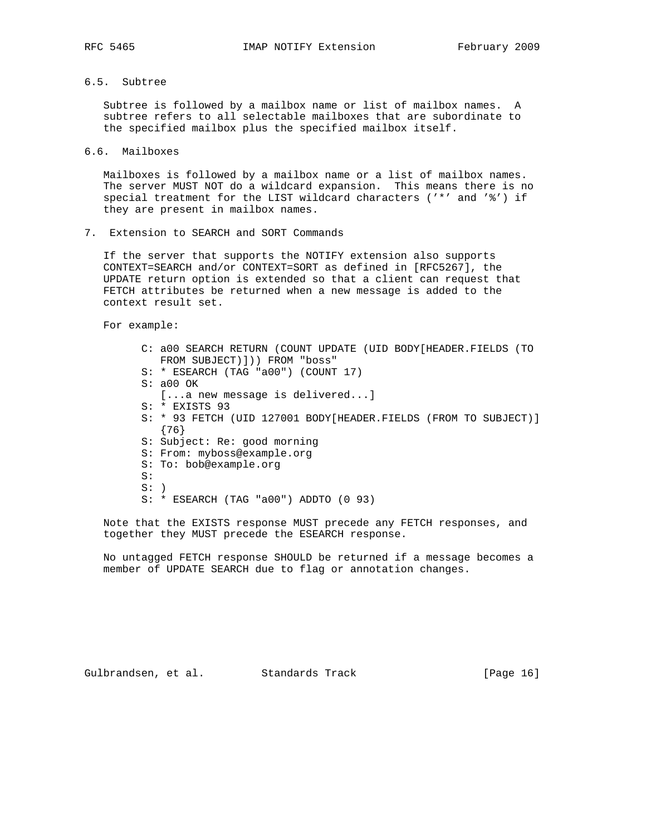6.5. Subtree

 Subtree is followed by a mailbox name or list of mailbox names. A subtree refers to all selectable mailboxes that are subordinate to the specified mailbox plus the specified mailbox itself.

6.6. Mailboxes

 Mailboxes is followed by a mailbox name or a list of mailbox names. The server MUST NOT do a wildcard expansion. This means there is no special treatment for the LIST wildcard characters ('\*' and '%') if they are present in mailbox names.

7. Extension to SEARCH and SORT Commands

 If the server that supports the NOTIFY extension also supports CONTEXT=SEARCH and/or CONTEXT=SORT as defined in [RFC5267], the UPDATE return option is extended so that a client can request that FETCH attributes be returned when a new message is added to the context result set.

For example:

 C: a00 SEARCH RETURN (COUNT UPDATE (UID BODY[HEADER.FIELDS (TO FROM SUBJECT)])) FROM "boss" S: \* ESEARCH (TAG "a00") (COUNT 17) S: a00 OK [...a new message is delivered...] S: \* EXISTS 93 S: \* 93 FETCH (UID 127001 BODY[HEADER.FIELDS (FROM TO SUBJECT)] {76} S: Subject: Re: good morning S: From: myboss@example.org S: To: bob@example.org S:  $S:$  ) S: \* ESEARCH (TAG "a00") ADDTO (0 93)

 Note that the EXISTS response MUST precede any FETCH responses, and together they MUST precede the ESEARCH response.

 No untagged FETCH response SHOULD be returned if a message becomes a member of UPDATE SEARCH due to flag or annotation changes.

Gulbrandsen, et al. Standards Track (Page 16)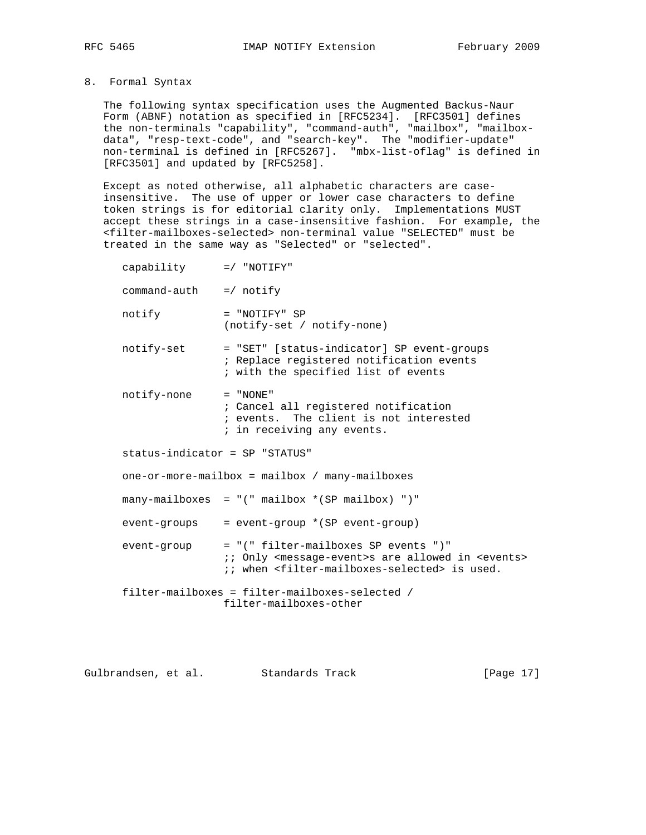8. Formal Syntax

 The following syntax specification uses the Augmented Backus-Naur Form (ABNF) notation as specified in [RFC5234]. [RFC3501] defines the non-terminals "capability", "command-auth", "mailbox", "mailbox data", "resp-text-code", and "search-key". The "modifier-update" non-terminal is defined in [RFC5267]. "mbx-list-oflag" is defined in [RFC3501] and updated by [RFC5258].

 Except as noted otherwise, all alphabetic characters are case insensitive. The use of upper or lower case characters to define token strings is for editorial clarity only. Implementations MUST accept these strings in a case-insensitive fashion. For example, the <filter-mailboxes-selected> non-terminal value "SELECTED" must be treated in the same way as "Selected" or "selected".

| capability $= /$ "NOTIFY"                      |                                                                                                                                                                                                |  |  |
|------------------------------------------------|------------------------------------------------------------------------------------------------------------------------------------------------------------------------------------------------|--|--|
| $command-auth = / notify$                      |                                                                                                                                                                                                |  |  |
| notify                                         | $= "NOTIFY" SP$<br>(notify-set / notify-none)                                                                                                                                                  |  |  |
| notify-set                                     | = "SET" [status-indicator] SP event-groups<br>; Replace registered notification events<br>; with the specified list of events                                                                  |  |  |
| notify-none                                    | $=$ "NONE"<br>; Cancel all registered notification<br>; events. The client is not interested<br>; in receiving any events.                                                                     |  |  |
| status-indicator = SP "STATUS"                 |                                                                                                                                                                                                |  |  |
| one-or-more-mailbox = mailbox / many-mailboxes |                                                                                                                                                                                                |  |  |
|                                                | $many-mailboxes = "("mailbox * (SP mailbox) "")"$                                                                                                                                              |  |  |
| event-groups                                   | = event-group *(SP event-group)                                                                                                                                                                |  |  |
| event-group                                    | = "(" filter-mailboxes SP events ")"<br>:: Only <message-event>s are allowed in <events><br/>;; when <filter-mailboxes-selected> is used.</filter-mailboxes-selected></events></message-event> |  |  |
|                                                | filter-mailboxes = filter-mailboxes-selected /<br>filter-mailboxes-other                                                                                                                       |  |  |

Gulbrandsen, et al. Standards Track [Page 17]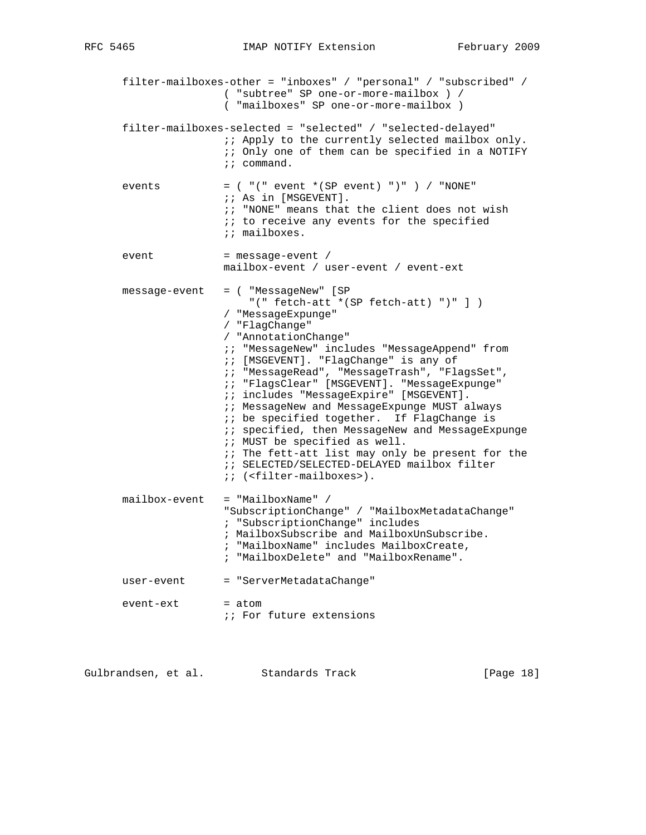filter-mailboxes-other = "inboxes" / "personal" / "subscribed" / ( "subtree" SP one-or-more-mailbox ) / ( "mailboxes" SP one-or-more-mailbox ) filter-mailboxes-selected = "selected" / "selected-delayed" ;; Apply to the currently selected mailbox only. ;; Only one of them can be specified in a NOTIFY ;; command. events  $=$  (  $"(" event * (SP event) ") " )$  / "NONE" ;; As in [MSGEVENT]. ;; "NONE" means that the client does not wish  $i$ ; to receive any events for the specified ;; mailboxes. event = message-event / mailbox-event / user-event / event-ext message-event = ( "MessageNew" [SP "(" fetch-att \*(SP fetch-att) ")" ] ) / "MessageExpunge" / "FlagChange" / "AnnotationChange" ;; "MessageNew" includes "MessageAppend" from ;; [MSGEVENT]. "FlagChange" is any of ;; "MessageRead", "MessageTrash", "FlagsSet", ;; "FlagsClear" [MSGEVENT]. "MessageExpunge" ;; includes "MessageExpire" [MSGEVENT]. ;; MessageNew and MessageExpunge MUST always : i be specified together. If FlagChange is ;; specified, then MessageNew and MessageExpunge ;; MUST be specified as well.  $i$ ; The fett-att list may only be present for the ;; SELECTED/SELECTED-DELAYED mailbox filter ;; (<filter-mailboxes>). mailbox-event = "MailboxName" / "SubscriptionChange" / "MailboxMetadataChange" ; "SubscriptionChange" includes ; MailboxSubscribe and MailboxUnSubscribe. ; "MailboxName" includes MailboxCreate, ; "MailboxDelete" and "MailboxRename". user-event = "ServerMetadataChange"  $event - ext$  =  $atom$ *i*; For future extensions

Gulbrandsen, et al. Standards Track [Page 18]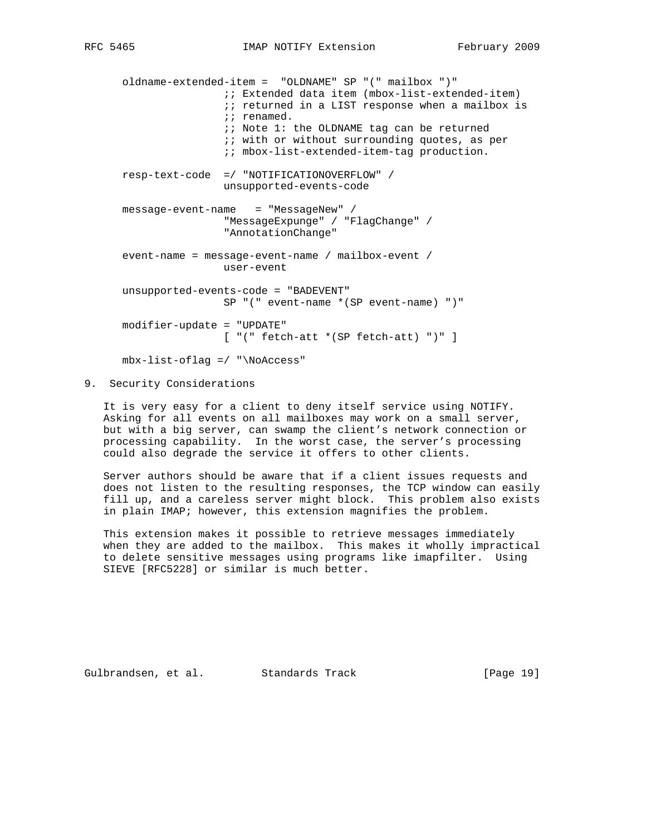oldname-extended-item = "OLDNAME" SP "(" mailbox ")" ;; Extended data item (mbox-list-extended-item)  $i$ ; returned in a LIST response when a mailbox is ;; renamed. ;; Note 1: the OLDNAME tag can be returned  $i$ ; with or without surrounding quotes, as per ;; mbox-list-extended-item-tag production. resp-text-code =/ "NOTIFICATIONOVERFLOW" / unsupported-events-code message-event-name = "MessageNew" / "MessageExpunge" / "FlagChange" / "AnnotationChange" event-name = message-event-name / mailbox-event / user-event unsupported-events-code = "BADEVENT" SP "(" event-name \*(SP event-name) ")" modifier-update = "UPDATE" [ "(" fetch-att \*(SP fetch-att) ")" ] mbx-list-oflag =/ "\NoAccess"

### 9. Security Considerations

 It is very easy for a client to deny itself service using NOTIFY. Asking for all events on all mailboxes may work on a small server, but with a big server, can swamp the client's network connection or processing capability. In the worst case, the server's processing could also degrade the service it offers to other clients.

 Server authors should be aware that if a client issues requests and does not listen to the resulting responses, the TCP window can easily fill up, and a careless server might block. This problem also exists in plain IMAP; however, this extension magnifies the problem.

 This extension makes it possible to retrieve messages immediately when they are added to the mailbox. This makes it wholly impractical to delete sensitive messages using programs like imapfilter. Using SIEVE [RFC5228] or similar is much better.

Gulbrandsen, et al. Standards Track [Page 19]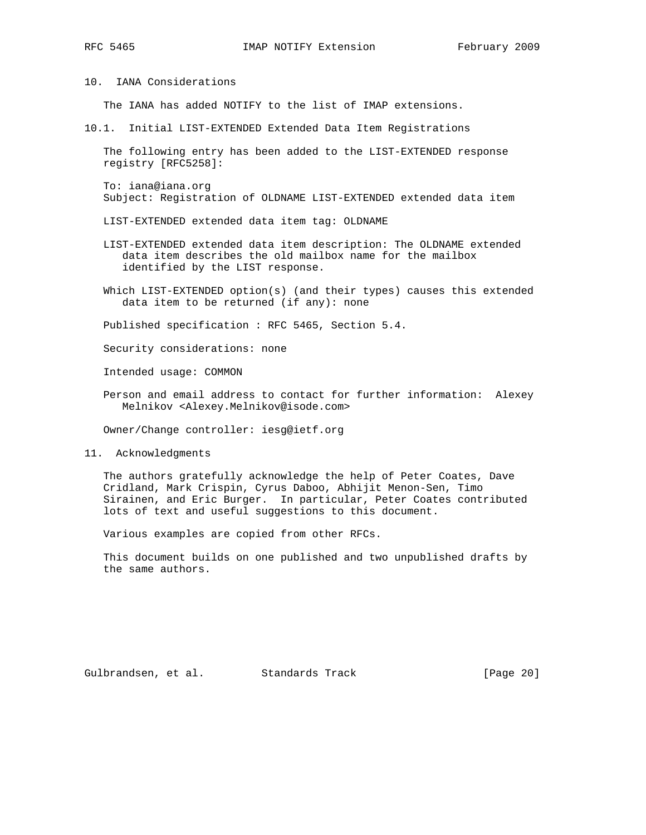10. IANA Considerations

The IANA has added NOTIFY to the list of IMAP extensions.

10.1. Initial LIST-EXTENDED Extended Data Item Registrations

 The following entry has been added to the LIST-EXTENDED response registry [RFC5258]:

 To: iana@iana.org Subject: Registration of OLDNAME LIST-EXTENDED extended data item

LIST-EXTENDED extended data item tag: OLDNAME

- LIST-EXTENDED extended data item description: The OLDNAME extended data item describes the old mailbox name for the mailbox identified by the LIST response.
- Which LIST-EXTENDED option(s) (and their types) causes this extended data item to be returned (if any): none

Published specification : RFC 5465, Section 5.4.

Security considerations: none

Intended usage: COMMON

 Person and email address to contact for further information: Alexey Melnikov <Alexey.Melnikov@isode.com>

Owner/Change controller: iesg@ietf.org

11. Acknowledgments

 The authors gratefully acknowledge the help of Peter Coates, Dave Cridland, Mark Crispin, Cyrus Daboo, Abhijit Menon-Sen, Timo Sirainen, and Eric Burger. In particular, Peter Coates contributed lots of text and useful suggestions to this document.

Various examples are copied from other RFCs.

 This document builds on one published and two unpublished drafts by the same authors.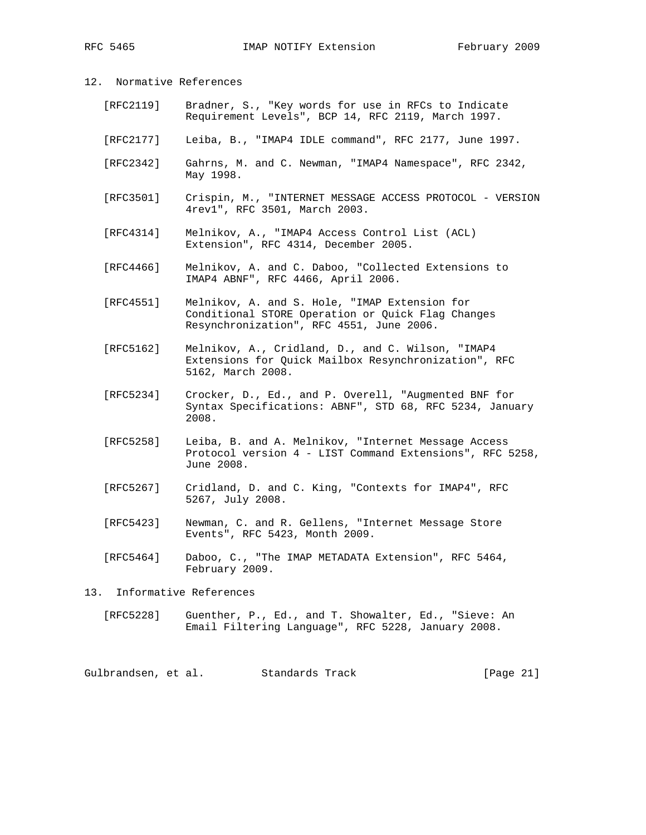## 12. Normative References

- [RFC2119] Bradner, S., "Key words for use in RFCs to Indicate Requirement Levels", BCP 14, RFC 2119, March 1997.
- [RFC2177] Leiba, B., "IMAP4 IDLE command", RFC 2177, June 1997.
- [RFC2342] Gahrns, M. and C. Newman, "IMAP4 Namespace", RFC 2342, May 1998.
- [RFC3501] Crispin, M., "INTERNET MESSAGE ACCESS PROTOCOL VERSION 4rev1", RFC 3501, March 2003.
- [RFC4314] Melnikov, A., "IMAP4 Access Control List (ACL) Extension", RFC 4314, December 2005.
- [RFC4466] Melnikov, A. and C. Daboo, "Collected Extensions to IMAP4 ABNF", RFC 4466, April 2006.
- [RFC4551] Melnikov, A. and S. Hole, "IMAP Extension for Conditional STORE Operation or Quick Flag Changes Resynchronization", RFC 4551, June 2006.
- [RFC5162] Melnikov, A., Cridland, D., and C. Wilson, "IMAP4 Extensions for Quick Mailbox Resynchronization", RFC 5162, March 2008.
- [RFC5234] Crocker, D., Ed., and P. Overell, "Augmented BNF for Syntax Specifications: ABNF", STD 68, RFC 5234, January 2008.
- [RFC5258] Leiba, B. and A. Melnikov, "Internet Message Access Protocol version 4 - LIST Command Extensions", RFC 5258, June 2008.
- [RFC5267] Cridland, D. and C. King, "Contexts for IMAP4", RFC 5267, July 2008.
- [RFC5423] Newman, C. and R. Gellens, "Internet Message Store Events", RFC 5423, Month 2009.
- [RFC5464] Daboo, C., "The IMAP METADATA Extension", RFC 5464, February 2009.
- 13. Informative References
	- [RFC5228] Guenther, P., Ed., and T. Showalter, Ed., "Sieve: An Email Filtering Language", RFC 5228, January 2008.

Gulbrandsen, et al. Standards Track (Page 21)